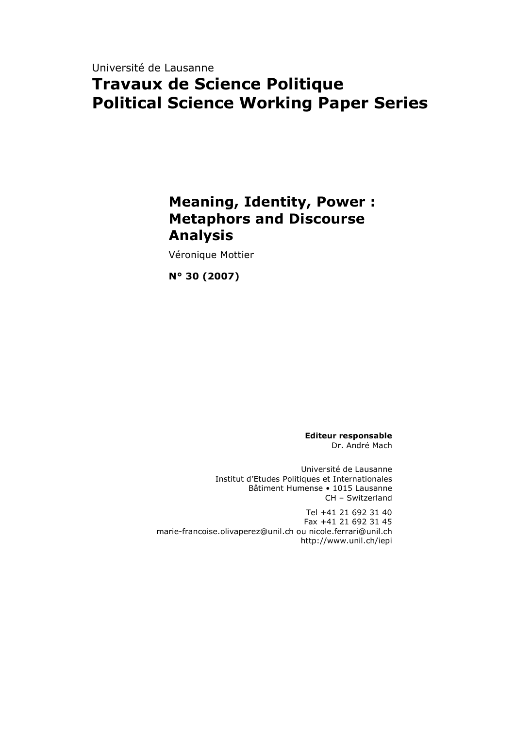Université de Lausanne **Travaux de Science Politique Political Science Working Paper Series**

# **Meaning, Identity, Power : Metaphors and Discourse Analysis**

Véronique Mottier

**N° 30 (2007)**

**Editeur responsable** Dr. André Mach

Université de Lausanne Institut d'Etudes Politiques et Internationales Bâtiment Humense • 1015 Lausanne CH – Switzerland

Tel +41 21 692 31 40 Fax +41 21 692 31 45 marie-francoise.olivaperez@unil.ch ou nicole.ferrari@unil.ch http://www.unil.ch/iepi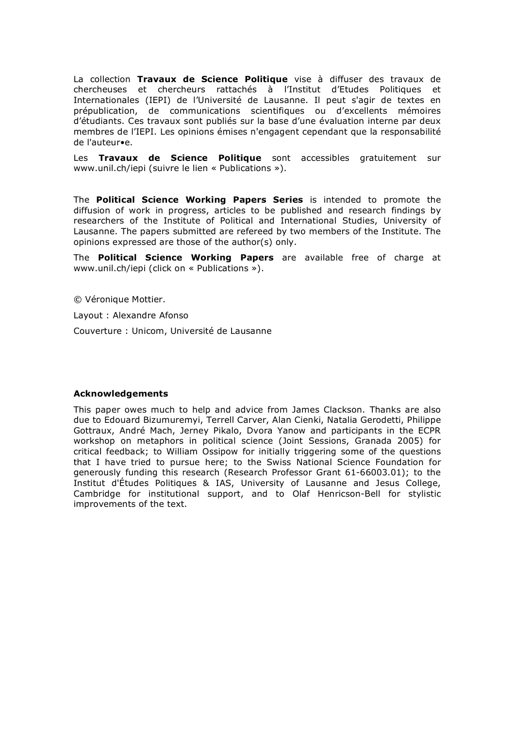La collection **Travaux de Science Politique** vise à diffuser des travaux de chercheuses et chercheurs rattachés à l'Institut d'Etudes Politiques et Internationales (IEPI) de l'Université de Lausanne. Il peut s'agir de textes en prépublication, de communications scientifiques ou d'excellents mémoires d'étudiants. Ces travaux sont publiés sur la base d'une évaluation interne par deux membres de l'IEPI. Les opinions émises n'engagent cependant que la responsabilité de l'auteur•e.

Les **Travaux de Science Politique** sont accessibles gratuitement sur www.unil.ch/iepi (suivre le lien « Publications »).

The **Political Science Working Papers Series** is intended to promote the diffusion of work in progress, articles to be published and research findings by researchers of the Institute of Political and International Studies, University of Lausanne. The papers submitted are refereed by two members of the Institute. The opinions expressed are those of the author(s) only.

The **Political Science Working Papers** are available free of charge at www.unil.ch/iepi (click on « Publications »).

© Véronique Mottier.

Layout : Alexandre Afonso

Couverture : Unicom, Université de Lausanne

#### **Acknowledgements**

This paper owes much to help and advice from James Clackson. Thanks are also due to Edouard Bizumuremyi, Terrell Carver, Alan Cienki, Natalia Gerodetti, Philippe Gottraux, André Mach, Jerney Pikalo, Dvora Yanow and participants in the ECPR workshop on metaphors in political science (Joint Sessions, Granada 2005) for critical feedback; to William Ossipow for initially triggering some of the questions that I have tried to pursue here; to the Swiss National Science Foundation for generously funding this research (Research Professor Grant 61-66003.01); to the Institut d'Études Politiques & IAS, University of Lausanne and Jesus College, Cambridge for institutional support, and to Olaf Henricson-Bell for stylistic improvements of the text.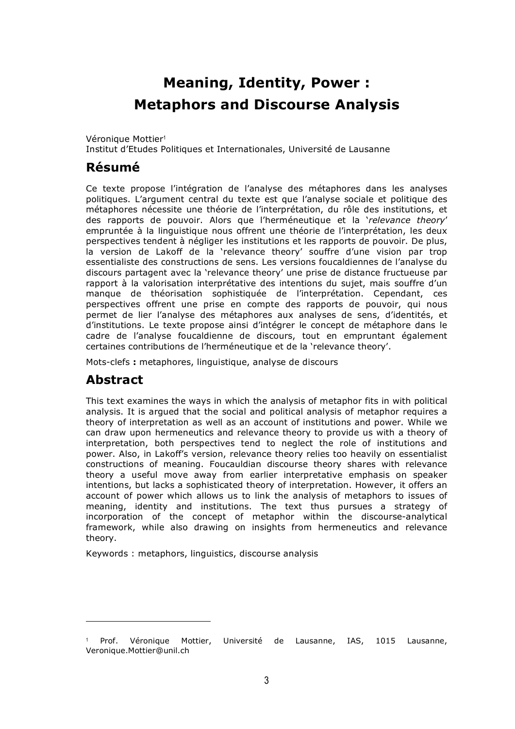# **Meaning, Identity, Power : Metaphors and Discourse Analysis**

Véronique Mottier<sup>1</sup> Institut d'Etudes Politiques et Internationales, Université de Lausanne

### **Résumé**

Ce texte propose l'intégration de l'analyse des métaphores dans les analyses politiques. L'argument central du texte est que l'analyse sociale et politique des métaphores nécessite une théorie de l'interprétation, du rôle des institutions, et des rapports de pouvoir. Alors que l'herméneutique et la '*relevance theory*' empruntée à la linguistique nous offrent une théorie de l'interprétation, les deux perspectives tendent à négliger les institutions et les rapports de pouvoir. De plus, la version de Lakoff de la 'relevance theory' souffre d'une vision par trop essentialiste des constructions de sens. Les versions foucaldiennes de l'analyse du discours partagent avec la 'relevance theory' une prise de distance fructueuse par rapport à la valorisation interprétative des intentions du sujet, mais souffre d'un manque de théorisation sophistiquée de l'interprétation. Cependant, ces perspectives offrent une prise en compte des rapports de pouvoir, qui nous permet de lier l'analyse des métaphores aux analyses de sens, d'identités, et d'institutions. Le texte propose ainsi d'intégrer le concept de métaphore dans le cadre de l'analyse foucaldienne de discours, tout en empruntant également certaines contributions de l'herméneutique et de la 'relevance theory'.

Mots-clefs **:** metaphores, linguistique, analyse de discours

## **Abstract**

This text examines the ways in which the analysis of metaphor fits in with political analysis. It is argued that the social and political analysis of metaphor requires a theory of interpretation as well as an account of institutions and power. While we can draw upon hermeneutics and relevance theory to provide us with a theory of interpretation, both perspectives tend to neglect the role of institutions and power. Also, in Lakoff's version, relevance theory relies too heavily on essentialist constructions of meaning. Foucauldian discourse theory shares with relevance theory a useful move away from earlier interpretative emphasis on speaker intentions, but lacks a sophisticated theory of interpretation. However, it offers an account of power which allows us to link the analysis of metaphors to issues of meaning, identity and institutions. The text thus pursues a strategy of incorporation of the concept of metaphor within the discourse-analytical framework, while also drawing on insights from hermeneutics and relevance theory.

Keywords : metaphors, linguistics, discourse analysis

<sup>1</sup> Prof. Véronique Mottier, Université de Lausanne, IAS, 1015 Lausanne, Veronique.Mottier@unil.ch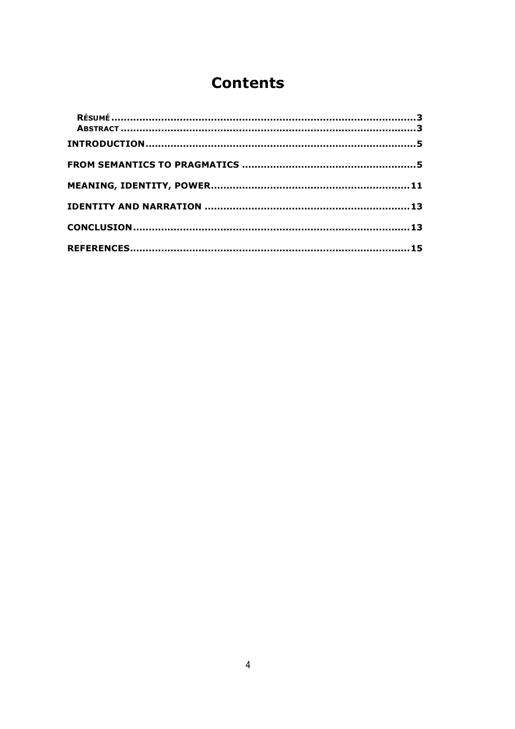# **Contents**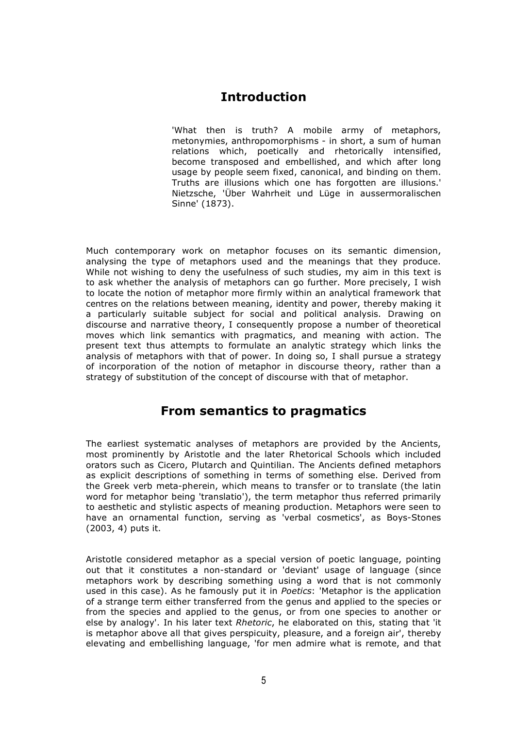### **Introduction**

'What then is truth? A mobile army of metaphors, metonymies, anthropomorphisms - in short, a sum of human relations which, poetically and rhetorically intensified, become transposed and embellished, and which after long usage by people seem fixed, canonical, and binding on them. Truths are illusions which one has forgotten are illusions.' Nietzsche, 'Über Wahrheit und Lüge in aussermoralischen Sinne' (1873).

Much contemporary work on metaphor focuses on its semantic dimension, analysing the type of metaphors used and the meanings that they produce. While not wishing to deny the usefulness of such studies, my aim in this text is to ask whether the analysis of metaphors can go further. More precisely, I wish to locate the notion of metaphor more firmly within an analytical framework that centres on the relations between meaning, identity and power, thereby making it a particularly suitable subject for social and political analysis. Drawing on discourse and narrative theory, I consequently propose a number of theoretical moves which link semantics with pragmatics, and meaning with action. The present text thus attempts to formulate an analytic strategy which links the analysis of metaphors with that of power. In doing so, I shall pursue a strategy of incorporation of the notion of metaphor in discourse theory, rather than a strategy of substitution of the concept of discourse with that of metaphor.

### **From semantics to pragmatics**

The earliest systematic analyses of metaphors are provided by the Ancients, most prominently by Aristotle and the later Rhetorical Schools which included orators such as Cicero, Plutarch and Quintilian. The Ancients defined metaphors as explicit descriptions of something in terms of something else. Derived from the Greek verb meta-pherein, which means to transfer or to translate (the latin word for metaphor being 'translatio'), the term metaphor thus referred primarily to aesthetic and stylistic aspects of meaning production. Metaphors were seen to have an ornamental function, serving as 'verbal cosmetics', as Boys-Stones (2003, 4) puts it.

Aristotle considered metaphor as a special version of poetic language, pointing out that it constitutes a non-standard or 'deviant' usage of language (since metaphors work by describing something using a word that is not commonly used in this case). As he famously put it in *Poetics*: 'Metaphor is the application of a strange term either transferred from the genus and applied to the species or from the species and applied to the genus, or from one species to another or else by analogy'. In his later text *Rhetoric*, he elaborated on this, stating that 'it is metaphor above all that gives perspicuity, pleasure, and a foreign air', thereby elevating and embellishing language, 'for men admire what is remote, and that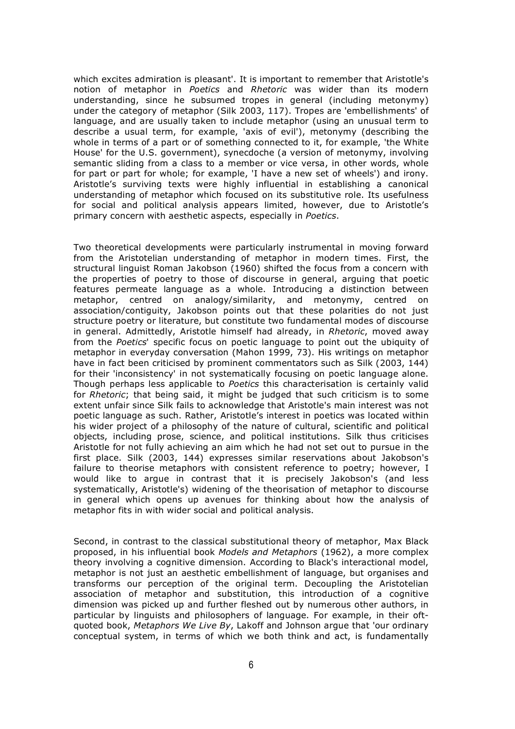which excites admiration is pleasant'. It is important to remember that Aristotle's notion of metaphor in *Poetics* and *Rhetoric* was wider than its modern understanding, since he subsumed tropes in general (including metonymy) under the category of metaphor (Silk 2003, 117). Tropes are 'embellishments' of language, and are usually taken to include metaphor (using an unusual term to describe a usual term, for example, 'axis of evil'), metonymy (describing the whole in terms of a part or of something connected to it, for example, 'the White House' for the U.S. government), synecdoche (a version of metonymy, involving semantic sliding from a class to a member or vice versa, in other words, whole for part or part for whole; for example, 'I have a new set of wheels') and irony. Aristotle's surviving texts were highly influential in establishing a canonical understanding of metaphor which focused on its substitutive role. Its usefulness for social and political analysis appears limited, however, due to Aristotle's primary concern with aesthetic aspects, especially in *Poetics*.

Two theoretical developments were particularly instrumental in moving forward from the Aristotelian understanding of metaphor in modern times. First, the structural linguist Roman Jakobson (1960) shifted the focus from a concern with the properties of poetry to those of discourse in general, arguing that poetic features permeate language as a whole. Introducing a distinction between metaphor, centred on analogy/similarity, and metonymy, centred on association/contiguity, Jakobson points out that these polarities do not just structure poetry or literature, but constitute two fundamental modes of discourse in general. Admittedly, Aristotle himself had already, in *Rhetoric*, moved away from the *Poetics*' specific focus on poetic language to point out the ubiquity of metaphor in everyday conversation (Mahon 1999, 73). His writings on metaphor have in fact been criticised by prominent commentators such as Silk (2003, 144) for their 'inconsistency' in not systematically focusing on poetic language alone. Though perhaps less applicable to *Poetics* this characterisation is certainly valid for *Rhetoric*; that being said, it might be judged that such criticism is to some extent unfair since Silk fails to acknowledge that Aristotle's main interest was not poetic language as such. Rather, Aristotle's interest in poetics was located within his wider project of a philosophy of the nature of cultural, scientific and political objects, including prose, science, and political institutions. Silk thus criticises Aristotle for not fully achieving an aim which he had not set out to pursue in the first place. Silk (2003, 144) expresses similar reservations about Jakobson's failure to theorise metaphors with consistent reference to poetry; however, I would like to argue in contrast that it is precisely Jakobson's (and less systematically, Aristotle's) widening of the theorisation of metaphor to discourse in general which opens up avenues for thinking about how the analysis of metaphor fits in with wider social and political analysis.

Second, in contrast to the classical substitutional theory of metaphor, Max Black proposed, in his influential book *Models and Metaphors* (1962), a more complex theory involving a cognitive dimension. According to Black's interactional model, metaphor is not just an aesthetic embellishment of language, but organises and transforms our perception of the original term. Decoupling the Aristotelian association of metaphor and substitution, this introduction of a cognitive dimension was picked up and further fleshed out by numerous other authors, in particular by linguists and philosophers of language. For example, in their oftquoted book, *Metaphors We Live By*, Lakoff and Johnson argue that 'our ordinary conceptual system, in terms of which we both think and act, is fundamentally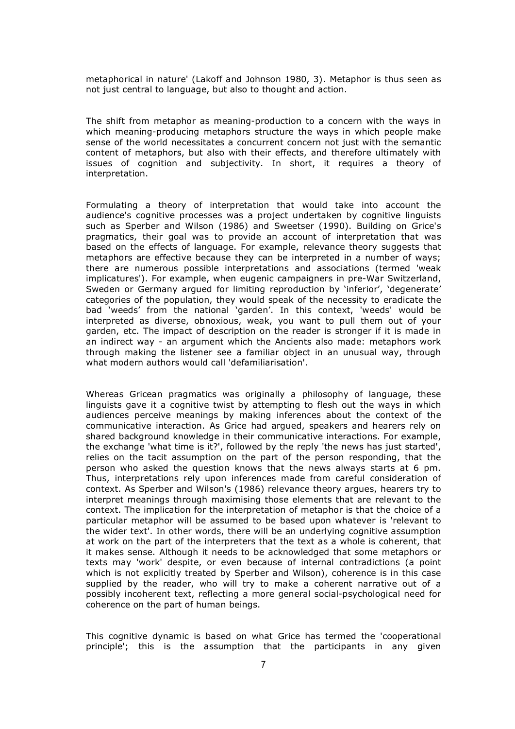metaphorical in nature' (Lakoff and Johnson 1980, 3). Metaphor is thus seen as not just central to language, but also to thought and action.

The shift from metaphor as meaning-production to a concern with the ways in which meaning-producing metaphors structure the ways in which people make sense of the world necessitates a concurrent concern not just with the semantic content of metaphors, but also with their effects, and therefore ultimately with issues of cognition and subjectivity. In short, it requires a theory of interpretation.

Formulating a theory of interpretation that would take into account the audience's cognitive processes was a project undertaken by cognitive linguists such as Sperber and Wilson (1986) and Sweetser (1990). Building on Grice's pragmatics, their goal was to provide an account of interpretation that was based on the effects of language. For example, relevance theory suggests that metaphors are effective because they can be interpreted in a number of ways; there are numerous possible interpretations and associations (termed 'weak implicatures'). For example, when eugenic campaigners in pre-War Switzerland, Sweden or Germany argued for limiting reproduction by 'inferior', 'degenerate' categories of the population, they would speak of the necessity to eradicate the bad 'weeds' from the national 'garden'. In this context, 'weeds' would be interpreted as diverse, obnoxious, weak, you want to pull them out of your garden, etc. The impact of description on the reader is stronger if it is made in an indirect way - an argument which the Ancients also made: metaphors work through making the listener see a familiar object in an unusual way, through what modern authors would call 'defamiliarisation'.

Whereas Gricean pragmatics was originally a philosophy of language, these linguists gave it a cognitive twist by attempting to flesh out the ways in which audiences perceive meanings by making inferences about the context of the communicative interaction. As Grice had argued, speakers and hearers rely on shared background knowledge in their communicative interactions. For example, the exchange 'what time is it?', followed by the reply 'the news has just started', relies on the tacit assumption on the part of the person responding, that the person who asked the question knows that the news always starts at 6 pm. Thus, interpretations rely upon inferences made from careful consideration of context. As Sperber and Wilson's (1986) relevance theory argues, hearers try to interpret meanings through maximising those elements that are relevant to the context. The implication for the interpretation of metaphor is that the choice of a particular metaphor will be assumed to be based upon whatever is 'relevant to the wider text'. In other words, there will be an underlying cognitive assumption at work on the part of the interpreters that the text as a whole is coherent, that it makes sense. Although it needs to be acknowledged that some metaphors or texts may 'work' despite, or even because of internal contradictions (a point which is not explicitly treated by Sperber and Wilson), coherence is in this case supplied by the reader, who will try to make a coherent narrative out of a possibly incoherent text, reflecting a more general social-psychological need for coherence on the part of human beings.

This cognitive dynamic is based on what Grice has termed the 'cooperational principle'; this is the assumption that the participants in any given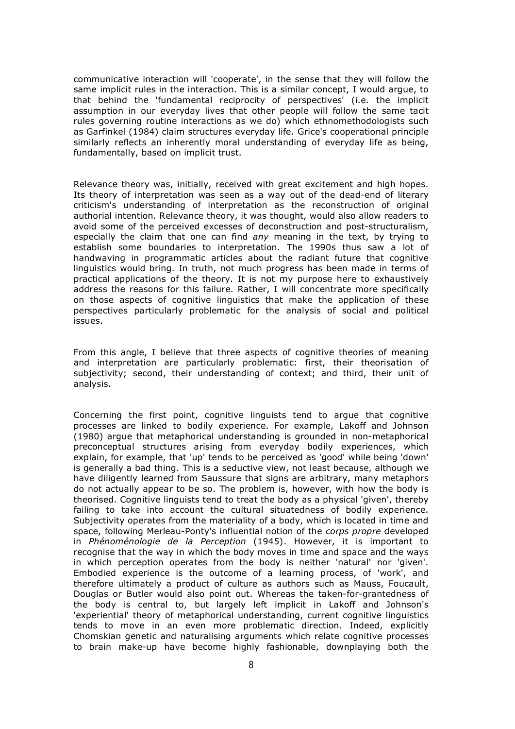communicative interaction will 'cooperate', in the sense that they will follow the same implicit rules in the interaction. This is a similar concept, I would argue, to that behind the 'fundamental reciprocity of perspectives' (i.e. the implicit assumption in our everyday lives that other people will follow the same tacit rules governing routine interactions as we do) which ethnomethodologists such as Garfinkel (1984) claim structures everyday life. Grice's cooperational principle similarly reflects an inherently moral understanding of everyday life as being, fundamentally, based on implicit trust.

Relevance theory was, initially, received with great excitement and high hopes. Its theory of interpretation was seen as a way out of the dead-end of literary criticism's understanding of interpretation as the reconstruction of original authorial intention. Relevance theory, it was thought, would also allow readers to avoid some of the perceived excesses of deconstruction and post-structuralism, especially the claim that one can find *any* meaning in the text, by trying to establish some boundaries to interpretation. The 1990s thus saw a lot of handwaving in programmatic articles about the radiant future that cognitive linguistics would bring. In truth, not much progress has been made in terms of practical applications of the theory. It is not my purpose here to exhaustively address the reasons for this failure. Rather, I will concentrate more specifically on those aspects of cognitive linguistics that make the application of these perspectives particularly problematic for the analysis of social and political issues.

From this angle, I believe that three aspects of cognitive theories of meaning and interpretation are particularly problematic: first, their theorisation of subjectivity; second, their understanding of context; and third, their unit of analysis.

Concerning the first point, cognitive linguists tend to argue that cognitive processes are linked to bodily experience. For example, Lakoff and Johnson (1980) argue that metaphorical understanding is grounded in non-metaphorical preconceptual structures arising from everyday bodily experiences, which explain, for example, that 'up' tends to be perceived as 'good' while being 'down' is generally a bad thing. This is a seductive view, not least because, although we have diligently learned from Saussure that signs are arbitrary, many metaphors do not actually appear to be so. The problem is, however, with how the body is theorised. Cognitive linguists tend to treat the body as a physical 'given', thereby failing to take into account the cultural situatedness of bodily experience. Subjectivity operates from the materiality of a body, which is located in time and space, following Merleau-Ponty's influential notion of the *corps propre* developed in *Phénoménologie de la Perception* (1945). However, it is important to recognise that the way in which the body moves in time and space and the ways in which perception operates from the body is neither 'natural' nor 'given'. Embodied experience is the outcome of a learning process, of 'work', and therefore ultimately a product of culture as authors such as Mauss, Foucault, Douglas or Butler would also point out. Whereas the taken-for-grantedness of the body is central to, but largely left implicit in Lakoff and Johnson's 'experiential' theory of metaphorical understanding, current cognitive linguistics tends to move in an even more problematic direction. Indeed, explicitly Chomskian genetic and naturalising arguments which relate cognitive processes to brain make-up have become highly fashionable, downplaying both the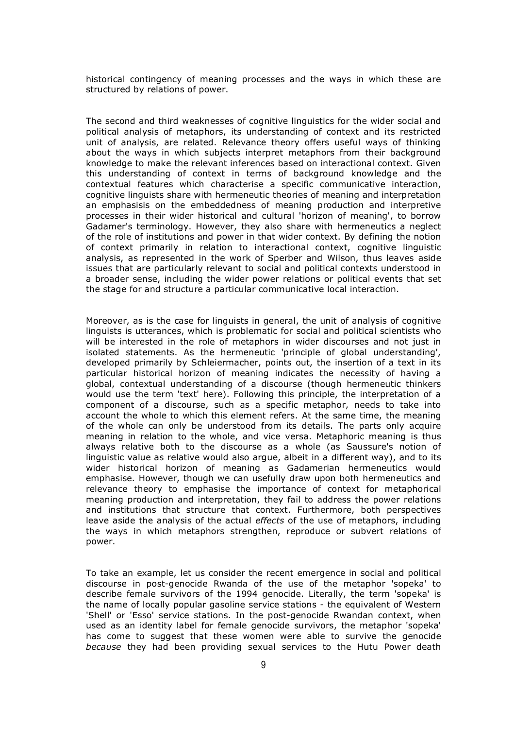historical contingency of meaning processes and the ways in which these are structured by relations of power.

The second and third weaknesses of cognitive linguistics for the wider social and political analysis of metaphors, its understanding of context and its restricted unit of analysis, are related. Relevance theory offers useful ways of thinking about the ways in which subjects interpret metaphors from their background knowledge to make the relevant inferences based on interactional context. Given this understanding of context in terms of background knowledge and the contextual features which characterise a specific communicative interaction, cognitive linguists share with hermeneutic theories of meaning and interpretation an emphasisis on the embeddedness of meaning production and interpretive processes in their wider historical and cultural 'horizon of meaning', to borrow Gadamer's terminology. However, they also share with hermeneutics a neglect of the role of institutions and power in that wider context. By defining the notion of context primarily in relation to interactional context, cognitive linguistic analysis, as represented in the work of Sperber and Wilson, thus leaves aside issues that are particularly relevant to social and political contexts understood in a broader sense, including the wider power relations or political events that set the stage for and structure a particular communicative local interaction.

Moreover, as is the case for linguists in general, the unit of analysis of cognitive linguists is utterances, which is problematic for social and political scientists who will be interested in the role of metaphors in wider discourses and not just in isolated statements. As the hermeneutic 'principle of global understanding', developed primarily by Schleiermacher, points out, the insertion of a text in its particular historical horizon of meaning indicates the necessity of having a global, contextual understanding of a discourse (though hermeneutic thinkers would use the term 'text' here). Following this principle, the interpretation of a component of a discourse, such as a specific metaphor, needs to take into account the whole to which this element refers. At the same time, the meaning of the whole can only be understood from its details. The parts only acquire meaning in relation to the whole, and vice versa. Metaphoric meaning is thus always relative both to the discourse as a whole (as Saussure's notion of linguistic value as relative would also argue, albeit in a different way), and to its wider historical horizon of meaning as Gadamerian hermeneutics would emphasise. However, though we can usefully draw upon both hermeneutics and relevance theory to emphasise the importance of context for metaphorical meaning production and interpretation, they fail to address the power relations and institutions that structure that context. Furthermore, both perspectives leave aside the analysis of the actual *effects* of the use of metaphors, including the ways in which metaphors strengthen, reproduce or subvert relations of power.

To take an example, let us consider the recent emergence in social and political discourse in post-genocide Rwanda of the use of the metaphor 'sopeka' to describe female survivors of the 1994 genocide. Literally, the term 'sopeka' is the name of locally popular gasoline service stations - the equivalent of Western 'Shell' or 'Esso' service stations. In the post-genocide Rwandan context, when used as an identity label for female genocide survivors, the metaphor 'sopeka' has come to suggest that these women were able to survive the genocide *because* they had been providing sexual services to the Hutu Power death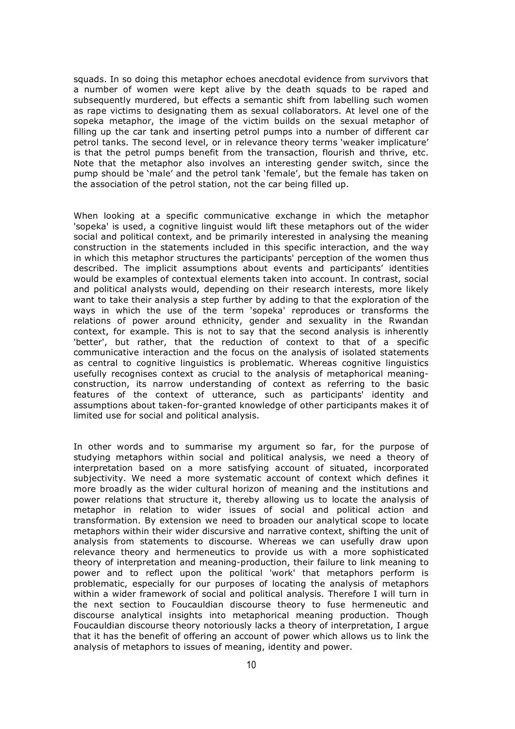squads. In so doing this metaphor echoes anecdotal evidence from survivors that a number of women were kept alive by the death squads to be raped and subsequently murdered, but effects a semantic shift from labelling such women as rape victims to designating them as sexual collaborators. At level one of the sopeka metaphor, the image of the victim builds on the sexual metaphor of filling up the car tank and inserting petrol pumps into a number of different car petrol tanks. The second level, or in relevance theory terms 'weaker implicature' is that the petrol pumps benefit from the transaction, flourish and thrive, etc. Note that the metaphor also involves an interesting gender switch, since the pump should be 'male' and the petrol tank 'female', but the female has taken on the association of the petrol station, not the car being filled up.

When looking at a specific communicative exchange in which the metaphor 'sopeka' is used, a cognitive linguist would lift these metaphors out of the wider social and political context, and be primarily interested in analysing the meaning construction in the statements included in this specific interaction, and the way in which this metaphor structures the participants' perception of the women thus described. The implicit assumptions about events and participants' identities would be examples of contextual elements taken into account. In contrast, social and political analysts would, depending on their research interests, more likely want to take their analysis a step further by adding to that the exploration of the ways in which the use of the term 'sopeka' reproduces or transforms the relations of power around ethnicity, gender and sexuality in the Rwandan context, for example. This is not to say that the second analysis is inherently 'better', but rather, that the reduction of context to that of a specific communicative interaction and the focus on the analysis of isolated statements as central to cognitive linguistics is problematic. Whereas cognitive linguistics usefully recognises context as crucial to the analysis of metaphorical meaningconstruction, its narrow understanding of context as referring to the basic features of the context of utterance, such as participants' identity and assumptions about taken-for-granted knowledge of other participants makes it of limited use for social and political analysis.

In other words and to summarise my argument so far, for the purpose of studying metaphors within social and political analysis, we need a theory of interpretation based on a more satisfying account of situated, incorporated subjectivity. We need a more systematic account of context which defines it more broadly as the wider cultural horizon of meaning and the institutions and power relations that structure it, thereby allowing us to locate the analysis of metaphor in relation to wider issues of social and political action and transformation. By extension we need to broaden our analytical scope to locate metaphors within their wider discursive and narrative context, shifting the unit of analysis from statements to discourse. Whereas we can usefully draw upon relevance theory and hermeneutics to provide us with a more sophisticated theory of interpretation and meaning-production, their failure to link meaning to power and to reflect upon the political 'work' that metaphors perform is problematic, especially for our purposes of locating the analysis of metaphors within a wider framework of social and political analysis. Therefore I will turn in the next section to Foucauldian discourse theory to fuse hermeneutic and discourse analytical insights into metaphorical meaning production. Though Foucauldian discourse theory notoriously lacks a theory of interpretation, I argue that it has the benefit of offering an account of power which allows us to link the analysis of metaphors to issues of meaning, identity and power.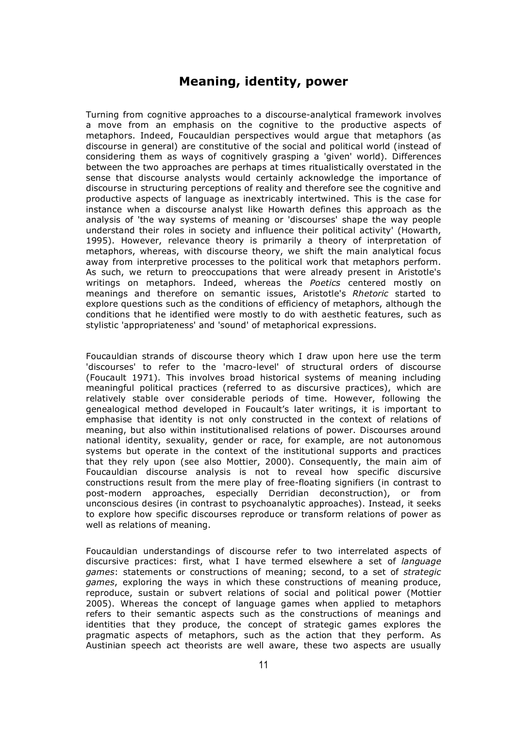### **Meaning, identity, power**

Turning from cognitive approaches to a discourse-analytical framework involves a move from an emphasis on the cognitive to the productive aspects of metaphors. Indeed, Foucauldian perspectives would argue that metaphors (as discourse in general) are constitutive of the social and political world (instead of considering them as ways of cognitively grasping a 'given' world). Differences between the two approaches are perhaps at times ritualistically overstated in the sense that discourse analysts would certainly acknowledge the importance of discourse in structuring perceptions of reality and therefore see the cognitive and productive aspects of language as inextricably intertwined. This is the case for instance when a discourse analyst like Howarth defines this approach as the analysis of 'the way systems of meaning or 'discourses' shape the way people understand their roles in society and influence their political activity' (Howarth, 1995). However, relevance theory is primarily a theory of interpretation of metaphors, whereas, with discourse theory, we shift the main analytical focus away from interpretive processes to the political work that metaphors perform. As such, we return to preoccupations that were already present in Aristotle's writings on metaphors. Indeed, whereas the *Poetics* centered mostly on meanings and therefore on semantic issues, Aristotle's *Rhetoric* started to explore questions such as the conditions of efficiency of metaphors, although the conditions that he identified were mostly to do with aesthetic features, such as stylistic 'appropriateness' and 'sound' of metaphorical expressions.

Foucauldian strands of discourse theory which I draw upon here use the term 'discourses' to refer to the 'macro-level' of structural orders of discourse (Foucault 1971). This involves broad historical systems of meaning including meaningful political practices (referred to as discursive practices), which are relatively stable over considerable periods of time. However, following the genealogical method developed in Foucault's later writings, it is important to emphasise that identity is not only constructed in the context of relations of meaning, but also within institutionalised relations of power. Discourses around national identity, sexuality, gender or race, for example, are not autonomous systems but operate in the context of the institutional supports and practices that they rely upon (see also Mottier, 2000). Consequently, the main aim of Foucauldian discourse analysis is not to reveal how specific discursive constructions result from the mere play of free-floating signifiers (in contrast to post-modern approaches, especially Derridian deconstruction), or from unconscious desires (in contrast to psychoanalytic approaches). Instead, it seeks to explore how specific discourses reproduce or transform relations of power as well as relations of meaning.

Foucauldian understandings of discourse refer to two interrelated aspects of discursive practices: first, what I have termed elsewhere a set of *language games*: statements or constructions of meaning; second, to a set of *strategic games*, exploring the ways in which these constructions of meaning produce, reproduce, sustain or subvert relations of social and political power (Mottier 2005). Whereas the concept of language games when applied to metaphors refers to their semantic aspects such as the constructions of meanings and identities that they produce, the concept of strategic games explores the pragmatic aspects of metaphors, such as the action that they perform. As Austinian speech act theorists are well aware, these two aspects are usually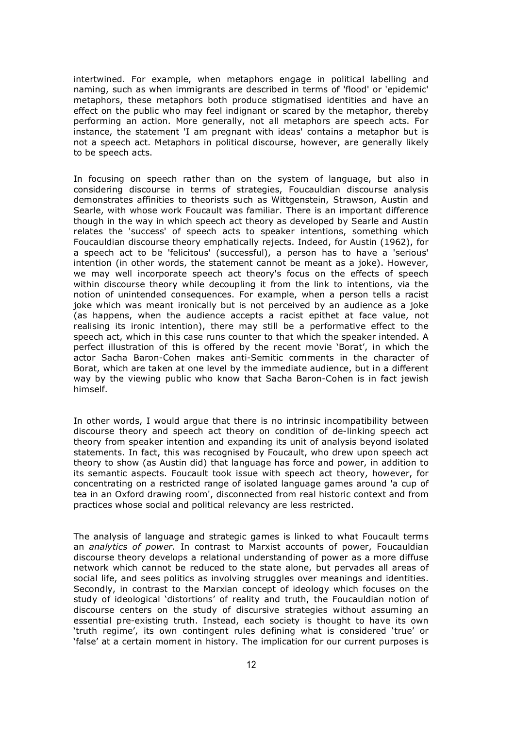intertwined. For example, when metaphors engage in political labelling and naming, such as when immigrants are described in terms of 'flood' or 'epidemic' metaphors, these metaphors both produce stigmatised identities and have an effect on the public who may feel indignant or scared by the metaphor, thereby performing an action. More generally, not all metaphors are speech acts. For instance, the statement 'I am pregnant with ideas' contains a metaphor but is not a speech act. Metaphors in political discourse, however, are generally likely to be speech acts.

In focusing on speech rather than on the system of language, but also in considering discourse in terms of strategies, Foucauldian discourse analysis demonstrates affinities to theorists such as Wittgenstein, Strawson, Austin and Searle, with whose work Foucault was familiar. There is an important difference though in the way in which speech act theory as developed by Searle and Austin relates the 'success' of speech acts to speaker intentions, something which Foucauldian discourse theory emphatically rejects. Indeed, for Austin (1962), for a speech act to be 'felicitous' (successful), a person has to have a 'serious' intention (in other words, the statement cannot be meant as a joke). However, we may well incorporate speech act theory's focus on the effects of speech within discourse theory while decoupling it from the link to intentions, via the notion of unintended consequences. For example, when a person tells a racist joke which was meant ironically but is not perceived by an audience as a joke (as happens, when the audience accepts a racist epithet at face value, not realising its ironic intention), there may still be a performative effect to the speech act, which in this case runs counter to that which the speaker intended. A perfect illustration of this is offered by the recent movie 'Borat', in which the actor Sacha Baron-Cohen makes anti-Semitic comments in the character of Borat, which are taken at one level by the immediate audience, but in a different way by the viewing public who know that Sacha Baron-Cohen is in fact jewish himself.

In other words, I would argue that there is no intrinsic incompatibility between discourse theory and speech act theory on condition of de-linking speech act theory from speaker intention and expanding its unit of analysis beyond isolated statements. In fact, this was recognised by Foucault, who drew upon speech act theory to show (as Austin did) that language has force and power, in addition to its semantic aspects. Foucault took issue with speech act theory, however, for concentrating on a restricted range of isolated language games around 'a cup of tea in an Oxford drawing room', disconnected from real historic context and from practices whose social and political relevancy are less restricted.

The analysis of language and strategic games is linked to what Foucault terms an *analytics of power*. In contrast to Marxist accounts of power, Foucauldian discourse theory develops a relational understanding of power as a more diffuse network which cannot be reduced to the state alone, but pervades all areas of social life, and sees politics as involving struggles over meanings and identities. Secondly, in contrast to the Marxian concept of ideology which focuses on the study of ideological 'distortions' of reality and truth, the Foucauldian notion of discourse centers on the study of discursive strategies without assuming an essential pre-existing truth. Instead, each society is thought to have its own 'truth regime', its own contingent rules defining what is considered 'true' or 'false' at a certain moment in history. The implication for our current purposes is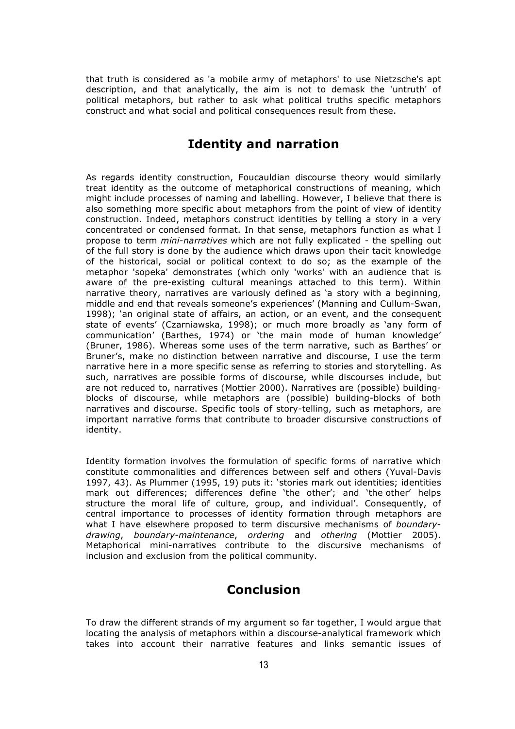that truth is considered as 'a mobile army of metaphors' to use Nietzsche's apt description, and that analytically, the aim is not to demask the 'untruth' of political metaphors, but rather to ask what political truths specific metaphors construct and what social and political consequences result from these.

### **Identity and narration**

As regards identity construction, Foucauldian discourse theory would similarly treat identity as the outcome of metaphorical constructions of meaning, which might include processes of naming and labelling. However, I believe that there is also something more specific about metaphors from the point of view of identity construction. Indeed, metaphors construct identities by telling a story in a very concentrated or condensed format. In that sense, metaphors function as what I propose to term *mini-narratives* which are not fully explicated - the spelling out of the full story is done by the audience which draws upon their tacit knowledge of the historical, social or political context to do so; as the example of the metaphor 'sopeka' demonstrates (which only 'works' with an audience that is aware of the pre-existing cultural meanings attached to this term). Within narrative theory, narratives are variously defined as 'a story with a beginning, middle and end that reveals someone's experiences' (Manning and Cullum-Swan, 1998); 'an original state of affairs, an action, or an event, and the consequent state of events' (Czarniawska, 1998); or much more broadly as 'any form of communication' (Barthes, 1974) or 'the main mode of human knowledge' (Bruner, 1986). Whereas some uses of the term narrative, such as Barthes' or Bruner's, make no distinction between narrative and discourse, I use the term narrative here in a more specific sense as referring to stories and storytelling. As such, narratives are possible forms of discourse, while discourses include, but are not reduced to, narratives (Mottier 2000). Narratives are (possible) buildingblocks of discourse, while metaphors are (possible) building-blocks of both narratives and discourse. Specific tools of story-telling, such as metaphors, are important narrative forms that contribute to broader discursive constructions of identity.

Identity formation involves the formulation of specific forms of narrative which constitute commonalities and differences between self and others (Yuval-Davis 1997, 43). As Plummer (1995, 19) puts it: 'stories mark out identities; identities mark out differences; differences define 'the other'; and 'the other' helps structure the moral life of culture, group, and individual'. Consequently, of central importance to processes of identity formation through metaphors are what I have elsewhere proposed to term discursive mechanisms of *boundarydrawing*, *boundary-maintenance*, *ordering* and *othering* (Mottier 2005). Metaphorical mini-narratives contribute to the discursive mechanisms of inclusion and exclusion from the political community.

### **Conclusion**

To draw the different strands of my argument so far together, I would argue that locating the analysis of metaphors within a discourse-analytical framework which takes into account their narrative features and links semantic issues of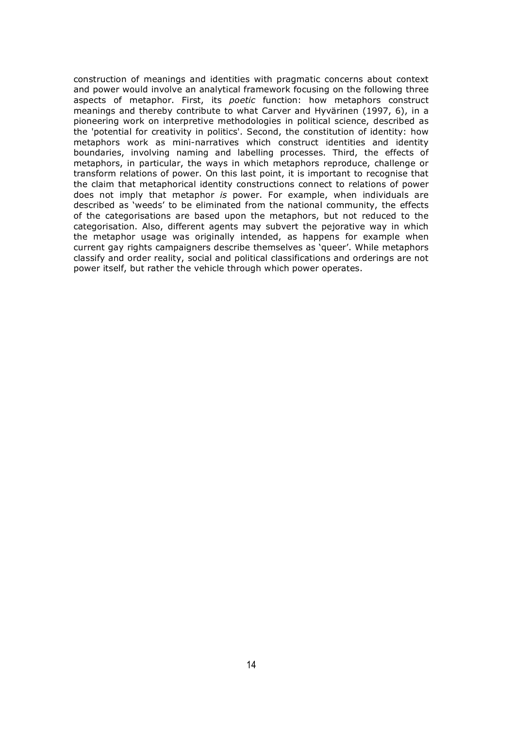construction of meanings and identities with pragmatic concerns about context and power would involve an analytical framework focusing on the following three aspects of metaphor. First, its *poetic* function: how metaphors construct meanings and thereby contribute to what Carver and Hyvärinen (1997, 6), in a pioneering work on interpretive methodologies in political science, described as the 'potential for creativity in politics'. Second, the constitution of identity: how metaphors work as mini-narratives which construct identities and identity boundaries, involving naming and labelling processes. Third, the effects of metaphors, in particular, the ways in which metaphors reproduce, challenge or transform relations of power. On this last point, it is important to recognise that the claim that metaphorical identity constructions connect to relations of power does not imply that metaphor *is* power. For example, when individuals are described as 'weeds' to be eliminated from the national community, the effects of the categorisations are based upon the metaphors, but not reduced to the categorisation. Also, different agents may subvert the pejorative way in which the metaphor usage was originally intended, as happens for example when current gay rights campaigners describe themselves as 'queer'. While metaphors classify and order reality, social and political classifications and orderings are not power itself, but rather the vehicle through which power operates.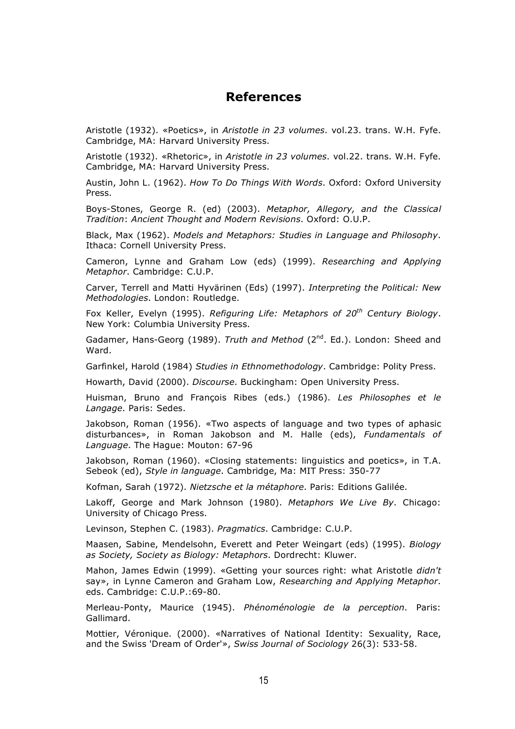#### **References**

Aristotle (1932). «Poetics», in *Aristotle in 23 volumes*. vol.23. trans. W.H. Fyfe. Cambridge, MA: Harvard University Press.

Aristotle (1932). «Rhetoric», in *Aristotle in 23 volumes*. vol.22. trans. W.H. Fyfe. Cambridge, MA: Harvard University Press.

Austin, John L. (1962). *How To Do Things With Words*. Oxford: Oxford University Press.

Boys-Stones, George R. (ed) (2003). *Metaphor, Allegory, and the Classical Tradition*: *Ancient Thought and Modern Revisions*. Oxford: O.U.P.

Black, Max (1962). *Models and Metaphors: Studies in Language and Philosophy*. Ithaca: Cornell University Press.

Cameron, Lynne and Graham Low (eds) (1999). *Researching and Applying Metaphor*. Cambridge: C.U.P.

Carver, Terrell and Matti Hyvärinen (Eds) (1997). *Interpreting the Political: New Methodologies*. London: Routledge.

Fox Keller, Evelyn (1995). *Refiguring Life: Metaphors of 20th Century Biology*. New York: Columbia University Press.

Gadamer, Hans-Georg (1989). *Truth and Method* (2<sup>nd</sup>. Ed.). London: Sheed and Ward.

Garfinkel, Harold (1984) *Studies in Ethnomethodology*. Cambridge: Polity Press.

Howarth, David (2000). *Discourse*. Buckingham: Open University Press.

Huisman, Bruno and François Ribes (eds.) (1986). *Les Philosophes et le Langage*. Paris: Sedes.

Jakobson, Roman (1956). «Two aspects of language and two types of aphasic disturbances», in Roman Jakobson and M. Halle (eds), *Fundamentals of Language*. The Hague: Mouton: 67-96

Jakobson, Roman (1960). «Closing statements: linguistics and poetics», in T.A. Sebeok (ed), *Style in language*. Cambridge, Ma: MIT Press: 350-77

Kofman, Sarah (1972). *Nietzsche et la métaphore*. Paris: Editions Galilée.

Lakoff, George and Mark Johnson (1980). *Metaphors We Live By*. Chicago: University of Chicago Press.

Levinson, Stephen C. (1983). *Pragmatics*. Cambridge: C.U.P.

Maasen, Sabine, Mendelsohn, Everett and Peter Weingart (eds) (1995). *Biology as Society, Society as Biology: Metaphors*. Dordrecht: Kluwer.

Mahon, James Edwin (1999). «Getting your sources right: what Aristotle *didn't* say», in Lynne Cameron and Graham Low, *Researching and Applying Metaphor*. eds. Cambridge: C.U.P.:69-80.

Merleau-Ponty, Maurice (1945). *Phénoménologie de la perception*. Paris: Gallimard.

Mottier, Véronique. (2000). «Narratives of National Identity: Sexuality, Race, and the Swiss 'Dream of Order'», *Swiss Journal of Sociology* 26(3): 533-58.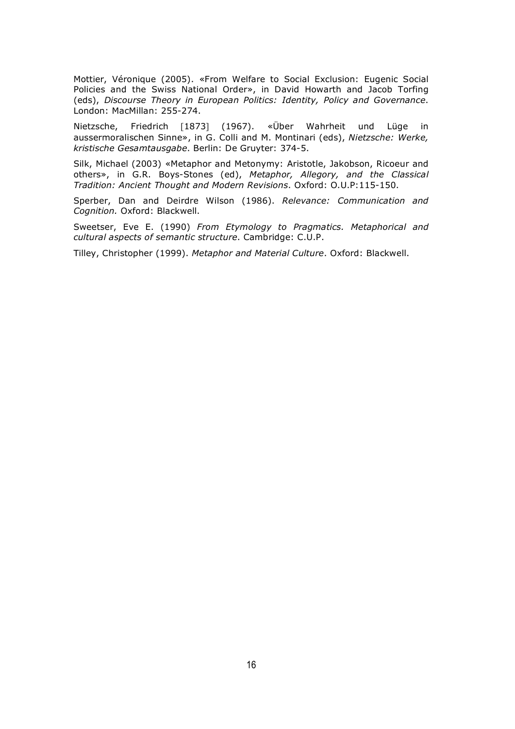Mottier, Véronique (2005). «From Welfare to Social Exclusion: Eugenic Social Policies and the Swiss National Order», in David Howarth and Jacob Torfing (eds), *Discourse Theory in European Politics: Identity, Policy and Governance*. London: MacMillan: 255-274.

Nietzsche, Friedrich [1873] (1967). «Über Wahrheit und Lüge in aussermoralischen Sinne», in G. Colli and M. Montinari (eds), *Nietzsche: Werke, kristische Gesamtausgabe*. Berlin: De Gruyter: 374-5.

Silk, Michael (2003) «Metaphor and Metonymy: Aristotle, Jakobson, Ricoeur and others», in G.R. Boys-Stones (ed), *Metaphor, Allegory, and the Classical Tradition: Ancient Thought and Modern Revisions*. Oxford: O.U.P:115-150.

Sperber, Dan and Deirdre Wilson (1986). *Relevance: Communication and Cognition.* Oxford: Blackwell.

Sweetser, Eve E. (1990) *From Etymology to Pragmatics. Metaphorical and cultural aspects of semantic structure*. Cambridge: C.U.P.

Tilley, Christopher (1999). *Metaphor and Material Culture*. Oxford: Blackwell.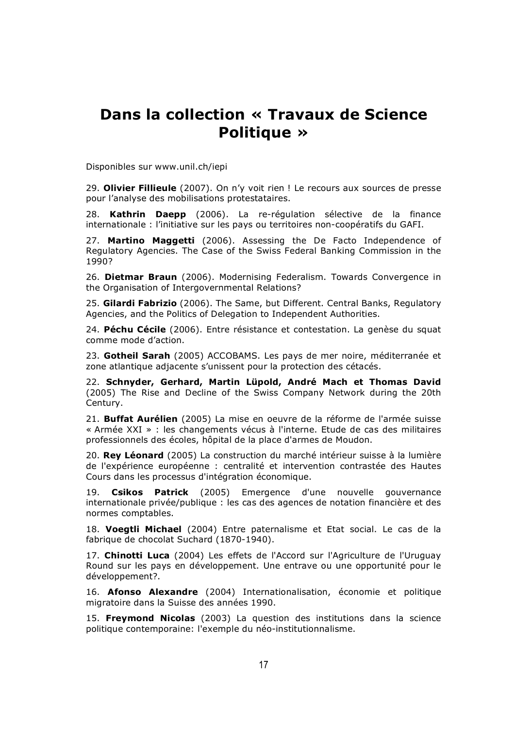# **Dans la collection « Travaux de Science Politique »**

Disponibles sur www.unil.ch/iepi

29. **Olivier Fillieule** (2007). On n'y voit rien ! Le recours aux sources de presse pour l'analyse des mobilisations protestataires.

28. **Kathrin Daepp** (2006). La re-régulation sélective de la finance internationale : l'initiative sur les pays ou territoires non-coopératifs du GAFI.

27. **Martino Maggetti** (2006). Assessing the De Facto Independence of Regulatory Agencies. The Case of the Swiss Federal Banking Commission in the 1990?

26. **Dietmar Braun** (2006). Modernising Federalism. Towards Convergence in the Organisation of Intergovernmental Relations?

25. **Gilardi Fabrizio** (2006). The Same, but Different. Central Banks, Regulatory Agencies, and the Politics of Delegation to Independent Authorities.

24. **Péchu Cécile** (2006). Entre résistance et contestation. La genèse du squat comme mode d'action.

23. **Gotheil Sarah** (2005) ACCOBAMS. Les pays de mer noire, méditerranée et zone atlantique adjacente s'unissent pour la protection des cétacés.

22. **Schnyder, Gerhard, Martin Lüpold, André Mach et Thomas David** (2005) The Rise and Decline of the Swiss Company Network during the 20th Century.

21. **Buffat Aurélien** (2005) La mise en oeuvre de la réforme de l'armée suisse « Armée XXI » : les changements vécus à l'interne. Etude de cas des militaires professionnels des écoles, hôpital de la place d'armes de Moudon.

20. **Rey Léonard** (2005) La construction du marché intérieur suisse à la lumière de l'expérience européenne : centralité et intervention contrastée des Hautes Cours dans les processus d'intégration économique.

19. **Csikos Patrick** (2005) Emergence d'une nouvelle gouvernance internationale privée/publique : les cas des agences de notation financière et des normes comptables.

18. **Voegtli Michael** (2004) Entre paternalisme et Etat social. Le cas de la fabrique de chocolat Suchard (1870-1940).

17. **Chinotti Luca** (2004) Les effets de l'Accord sur l'Agriculture de l'Uruguay Round sur les pays en développement. Une entrave ou une opportunité pour le développement?.

16. **Afonso Alexandre** (2004) Internationalisation, économie et politique migratoire dans la Suisse des années 1990.

15. **Freymond Nicolas** (2003) La question des institutions dans la science politique contemporaine: l'exemple du néo-institutionnalisme.